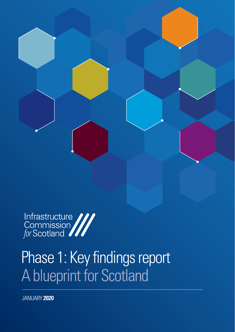

# Phase 1: Key findings report<br>A blueprint for Scotland

JANUARY **2020**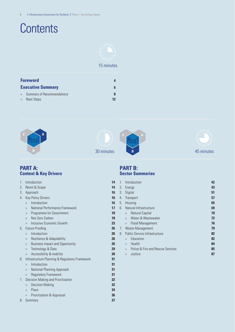## **Contents**



### 15 minutes

| <b>Foreword</b> |                              |    |
|-----------------|------------------------------|----|
|                 | <b>Executive Summary</b>     |    |
|                 | > Summary of Recommendations |    |
|                 | > Next Steps                 | 12 |









### **PART A: Context & Key Drivers**

| 1. | Introduction                                   |    | 1.             | Introd                   |
|----|------------------------------------------------|----|----------------|--------------------------|
| 2. | Remit & Scope<br>14<br>2.                      |    | Energ          |                          |
| 3. | Approach<br>16<br>3.                           |    | Digita         |                          |
| 4. | <b>Key Policy Drivers</b>                      | 16 | 4.             | Transp                   |
|    | Introduction<br>$\geq$                         | 16 | 5.             | Housi                    |
|    | National Performance Framework<br>$\geq$       | 17 | 6.             | Natur                    |
|    | Programme for Government<br>>                  | 18 |                | $\mathbb N$<br>$\geq$    |
|    | Net Zero Carbon<br>$\geq$                      | 18 |                | W<br>$\geq$              |
|    | Inclusive Economic Growth<br>$\geq$            | 23 |                | F <sub>l</sub><br>$\geq$ |
| 5. | <b>Future Proofing</b>                         | 26 | 7 <sub>1</sub> | Waste                    |
|    | Introduction<br>$\geq$                         | 26 | 8.             | Public                   |
|    | Resilience & Adaptability<br>>                 | 26 |                | E<br>$\geq$              |
|    | <b>Business impact and Opportunity</b><br>>    | 26 |                | H<br>>                   |
|    | Technology & Data<br>$\geq$                    | 29 |                | P <sub>0</sub><br>$\geq$ |
|    | Accessibility & mobility<br>$\geq$             | 30 |                | Jι<br>>                  |
| 6. | Infrastructure Planning & Regulatory Framework | 31 |                |                          |
|    | Introduction<br>$\geq$                         | 31 |                |                          |
|    | National Planning Approach<br>$\geq$           | 31 |                |                          |
|    | <b>Regulatory Framework</b><br>$\geq$          | 31 |                |                          |
| 7. | Decision Making and Prioritisation             | 32 |                |                          |
|    | <b>Decision Making</b><br>$\geq$               | 32 |                |                          |
|    | Place<br>>                                     | 34 |                |                          |
|    | Prioritisation & Appraisal<br>$\geq$           | 36 |                |                          |
| 8. | Summary                                        | 37 |                |                          |
|    |                                                |    |                |                          |

### **PART B: Sector Summaries**

|                                                        | 1.                           | Introduction                                      |    |  |  |
|--------------------------------------------------------|------------------------------|---------------------------------------------------|----|--|--|
|                                                        | 2.                           | Energy                                            |    |  |  |
|                                                        | 3.                           | Digital                                           |    |  |  |
|                                                        | 4.                           | Transport<br>57                                   |    |  |  |
|                                                        | 5.                           | Housing<br>65                                     |    |  |  |
|                                                        | Natural Infrastructure<br>6. |                                                   | 69 |  |  |
|                                                        |                              | Natural Capital<br>$\geq$                         | 70 |  |  |
|                                                        |                              | Water & Wastewater<br>$\geq$                      | 72 |  |  |
|                                                        |                              | Flood Management<br>>                             | 76 |  |  |
|                                                        | 7.                           | Waste Management                                  |    |  |  |
| <b>Public Service Infrastructure</b><br>8 <sup>1</sup> |                              |                                                   | 82 |  |  |
|                                                        |                              | Education<br>$\mathbf{r}$                         | 82 |  |  |
|                                                        |                              | Health<br>$\mathbf{I}$                            | 84 |  |  |
|                                                        |                              | Police & Fire and Rescue Services<br>$\mathbf{I}$ | 85 |  |  |
|                                                        |                              | Justice<br>$\geq$                                 | 87 |  |  |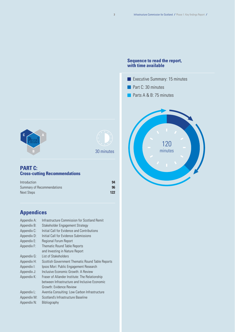#### **Sequence to read the report, with time available**

- Executive Summary: 15 minutes **n** Part C: 30 minutes
- Parts A & B: 75 minutes







### 30 minutes

### **PART C: Cross-cutting Recommendations**

| Introduction               | 94  |
|----------------------------|-----|
| Summary of Recommendations | 96  |
| Next Steps                 | 122 |

## **Appendices**

| Appendix A: | Infrastructure Commission for Scotland Remit     |
|-------------|--------------------------------------------------|
| Appendix B: | Stakeholder Engagement Strategy                  |
| Appendix C: | Initial Call for Evidence and Contributions      |
| Appendix D: | Initial Call for Evidence Submissions            |
| Appendix E: | <b>Regional Forum Report</b>                     |
| Appendix F: | <b>Thematic Round Table Reports</b>              |
|             | and Investing in Nature Report                   |
| Appendix G: | List of Stakeholders                             |
| Appendix H: | Scottish Government Thematic Round Table Reports |
| Appendix I: | Ipsos Mori: Public Engagement Research           |
| Appendix J: | Inclusive Economic Growth: A Review              |
| Appendix K: | Fraser of Allander Institute: The Relationship   |
|             | between Infrastructure and Inclusive Economic    |
|             | Growth: Evidence Review                          |
| Appendix L: | Aventia Consulting: Low Carbon Infrastructure    |
| Appendix M: | Scotland's Infrastructure Baseline               |
| Appendix N: | Bibliography                                     |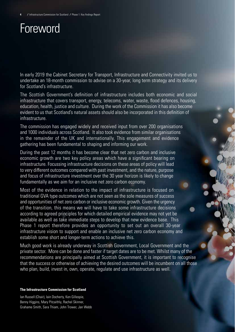## Foreword

In early 2019 the Cabinet Secretary for Transport, Infrastructure and Connectivity invited us to undertake an 18-month commission to advise on a 30-year, long term strategy and its delivery for Scotland's infrastructure.

The Scottish Government's definition of infrastructure includes both economic and social infrastructure that covers transport, energy, telecoms, water, waste, flood defences, housing, education, health, justice and culture. During the work of the Commission it has also become evident to us that Scotland's natural assets should also be incorporated in this definition of infrastructure.

The commission has engaged widely and received input from over 200 organisations and 1000 individuals across Scotland. It also took evidence from similar organisations in the remainder of the UK and internationally. This engagement and evidence gathering has been fundamental to shaping and informing our work.

During the past 12 months it has become clear that net zero carbon and inclusive economic growth are two key policy areas which have a significant bearing on infrastructure. Focussing infrastructure decisions on these areas of policy will lead to very different outcomes compared with past investment, and the nature, purpose and focus of infrastructure investment over the 30 year horizon is likely to change fundamentally as we aim for an inclusive net zero carbon economy.

Most of the evidence in relation to the impact of infrastructure is focused on traditional GVA type outcomes which are not seen as the sole measures of success and opportunities of net zero carbon or inclusive economic growth. Given the urgency of the transition, this means we will have to take some infrastructure decisions according to agreed principles for which detailed empirical evidence may not yet be available as well as take immediate steps to develop that new evidence base. This Phase 1 report therefore provides an opportunity to set out an overall 30-year infrastructure vision to support and enable an inclusive net zero carbon economy and establish some short and longer-term actions to achieve this.

Much good work is already underway in Scottish Government, Local Government and the private sector. More can be done and faster if target dates are to be met. Whilst many of the recommendations are principally aimed at Scottish Government, it is important to recognise that the success or otherwise of achieving the desired outcomes will be incumbent on all those who plan, build, invest in, own, operate, regulate and use infrastructure as well.

#### **The Infrastructure Commission for Scotland**

Ian Russell (Chair), Iain Docherty, Ken Gillespie, Benny Higgins, Mary Pitcaithly, Rachel Skinner, Grahame Smith, Sara Thiam, John Trower, Jan Webb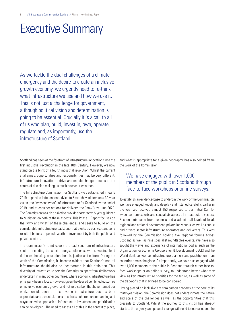## Executive Summary

As we tackle the dual challenges of a climate emergency and the desire to create an inclusive growth economy, we urgently need to re-think what infrastructure we use and how we use it. This is not just a challenge for government. although political vision and determination is going to be essential. Crucially it is a call to all of us who plan, build, invest in, own, operate, regulate and, as importantly, use the infrastructure of Scotland.

Scotland has been at the forefront of infrastructure innovation since the first industrial revolution in the late 18th Century. However, we now stand on the brink of a fourth industrial revolution. Whilst the current challenges, opportunities and responsibilities may be very different, infrastructure innovation to drive and enable change remains at the centre of decision making as much now as it was then.

The Infrastructure Commission for Scotland was established in early 2019 to provide independent advice to Scottish Ministers on a 30-year vision (the "why and what") of infrastructure for Scotland by the end of 2019, and to consider options for delivery (the "how") by June 2020. The Commission was also asked to provide shorter term 5-year guidance to Ministers on both of these aspects. This Phase 1 Report focuses on the "why and what" of these challenges and seeks to build on the considerable infrastructure backbone that exists across Scotland as a result of billions of pounds worth of investment by both the public and private sectors.

The Commission's remit covers a broad spectrum of infrastructure sectors including transport, energy, telecoms, water, waste, flood defences, housing, education, health, justice and culture. During the work of the Commission, it became evident that Scotland's natural infrastructure should also be incorporated in this definition. This diversity of infrastructure sets the Commission apart from similar work undertaken in many other countries, where economic infrastructure has principally been a focus. However, given the desired combined outcomes of inclusive economic growth and net zero carbon that have framed our work, consideration of this diverse infrastructure base is both appropriate and essential. It ensures that a coherent understanding and a systems-wide approach to infrastructure investment and prioritisation can be developed. The need to assess all of this in the context of place, and what is appropriate for a given geography, has also helped frame the work of the Commission.

### We have engaged with over 1,000 members of the public in Scotland through face-to-face workshops or online surveys.

To establish an evidence-base to underpin the work of the Commission, we have engaged widely and deeply - and listened carefully. Earlier in the year we received almost 150 responses to our Initial Call for Evidence from experts and specialists across all infrastructure sectors. Respondents came from business and academia, all levels of local, regional and national government, private individuals, as well as public and private sector infrastructure operators and deliverers. This was followed by the Commission holding five regional forums across Scotland as well as nine specialist roundtables events. We have also sought the views and experience of international bodies such as the Organisation for Economic Co-operation & Development (OECD) and the World Bank, as well as infrastructure planners and practitioners from countries across the globe. As importantly, we have also engaged with over 1,000 members of the public in Scotland through either face-toface workshops or an online survey, to understand better what they view as key infrastructure priorities for the future, as well as some of the trade-offs that may need to be considered.

Having placed an inclusive net zero carbon economy at the core of its thirty-year vision, the Commission does not underestimate the nature and scale of the challenges as well as the opportunities that this presents to Scotland. Whilst the journey to this vision has already started, the urgency and pace of change will need to increase, and the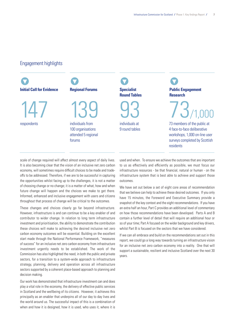### Engagement highlights



scale of change required will affect almost every aspect of daily lives. It is also becoming clear that the vision of an inclusive net zero carbon economy, will sometimes require difficult choices to be made and tradeoffs to be addressed. Therefore, if we are to be successful in capturing the opportunities whilst facing up to the challenges, it is not a matter of choosing change or no change; it is a matter of what, how and when future change will happen and the choices we make to get there. Informed, enhanced and inclusive engagement with users and citizens throughout that process of change will be critical to the outcomes.

These changes and choices clearly go far beyond infrastructure. However, infrastructure is and can continue to be a key enabler of and contributor to wider change. In relation to long term infrastructure investment and prioritisation, the ability to demonstrate the contribution these choices will make to achieving the desired inclusive net zero carbon economy outcomes will be essential. Building on the excellent start made through the National Performance Framework, "measures of success" for an inclusive net zero carbon economy from infrastructure investment urgently needs to be established. The work of the Commission has also highlighted the need, in both the public and private sectors, for a transition to a system-wide approach to infrastructure strategy, planning, delivery and operation across all infrastructure sectors supported by a coherent place-based approach to planning and decision making.

Our work has demonstrated that infrastructure investment can and does play a vital role in the economy, the delivery of effective public services in Scotland and the wellbeing of its citizens. However, it achieves this principally as an enabler that underpins all of our day to day lives and the world around us. The successful impact of this is a combination of when and how it is designed, how it is used, who uses it, where it is

used and when. To ensure we achieve the outcomes that are important to us as effectively and efficiently as possible, we must focus our infrastructure resources - be that financial, natural or human - on the infrastructure system that is best able to achieve and support those outcomes.

We have set out below a set of eight core areas of recommendation that we believe can help to achieve these desired outcomes. If you only have 15 minutes, the Foreword and Executive Summary provide a snapshot of the key context and the eight recommendations. If you have an extra half an hour, Part C provides an additional level of commentary on how those recommendations have been developed. Parts A and B contain a further level of detail that will require an additional hour or so of your time; Part A focused on the wider background and key drivers, whilst Part B is focused on the sectors that we have considered.

If we can all embrace and build on the recommendations set out in this report, we could go a long way towards turning an infrastructure vision for an inclusive net zero carbon economy into a reality. One that will support a sustainable, resilient and inclusive Scotland over the next 30 years.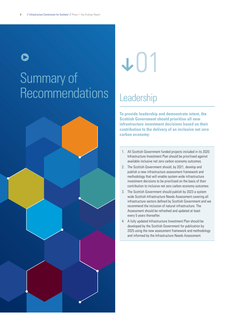## Summary of Recommendations Leadership  $\bullet$



# **v**01

**To provide leadership and demonstrate intent, the Scottish Government should prioritise all new infrastructure investment decisions based on their contribution to the delivery of an inclusive net zero carbon economy:**

- 1. All Scottish Government funded projects included in its 2020 Infrastructure Investment Plan should be prioritised against available inclusive net zero carbon economy outcomes.
- 2. The Scottish Government should, by 2021, develop and publish a new infrastructure assessment framework and methodology that will enable system wide infrastructure investment decisions to be prioritised on the basis of their contribution to inclusive net zero carbon economy outcomes.
- 3. The Scottish Government should publish by 2023 a system wide Scottish Infrastructure Needs Assessment covering all infrastructure sectors defined by Scottish Government and we recommend the inclusion of natural infrastructure. The Assessment should be refreshed and updated at least every 5 years thereafter.
- 4. A fully updated Infrastructure Investment Plan should be developed by the Scottish Government for publication by 2025 using the new assessment framework and methodology and informed by the Infrastructure Needs Assessment.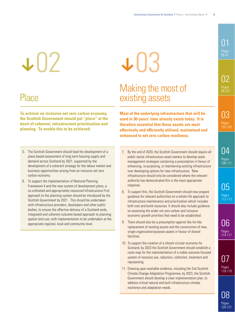## +02

## Place

**To achieve an inclusive net zero carbon economy, the Scottish Government should put "place" at the heart of coherent, infrastructure prioritisation and planning. To enable this to be achieved:**

- 5. The Scottish Government should lead the development of a place based assessment of long term housing supply and demand across Scotland by 2021, supported by the development of a coherent strategy for the labour market and business opportunities arising from an inclusive net zero carbon economy.
- 6. To support the implementation of National Planning Framework 4 and the new system of development plans, a co-ordinated and appropriately resourced Infrastructure First approach to the planning system should be introduced by the Scottish Government by 2021. This should be undertaken with infrastructure providers, developers and other public bodies, to ensure the effective delivery of a Scotland wide, integrated and coherent outcome based approach to planning spatial land use; with implementation to be undertaken at the appropriate regional, local and community level.

# **+03**

## Making the most of existing assets

**Most of the underlying infrastructure that will be used in 30-years' time already exists today. It is therefore essential that these assets are most effectively and efficiently utilised, maintained and enhanced to net zero carbon readiness.**

- 7. By the end of 2020, the Scottish Government should require all public sector infrastructure asset owners to develop asset management strategies containing a presumption in favour of enhancing, re-purposing, or maintaining existing infrastructure over developing options for new infrastructure. New infrastructure should only be considered where the relevant authority has demonstrated this is the most appropriate response.
- 8. To support this, the Scottish Government should now prepare guidance for relevant authorities on a whole-life approach to infrastructure maintenance and prioritisation which includes both cost and build resources. It should also include guidance on assessing the wider net zero carbon and inclusive economic growth priorities that need to be established.
- 9. There should also be a presumption against like-for-like replacement of existing assets and the construction of new, single organisation/purpose assets in favour of shared facitities.
- 10. To support the creation of a vibrant circular economy for Scotland, by 2023 the Scottish Government should establish a route map for the implementation of a viable outcome focused system of resource use, reduction, collection, treatment and repurposing.
- 11. Drawing upon available evidence, including the 2nd Scottish Climate Change Adaptation Programme, by 2023, the Scottish Government should develop a clear implementation plan, to address critical natural and built infrastructure climate resilience and adaptation needs.

01 95-97

> በ2 Pages 98-101

በ3 Pages 102-105

04 Pages 106-111

05 Pages 112-113

06 Pages 114-117

07

Pages 118-119

08

Pages 120-121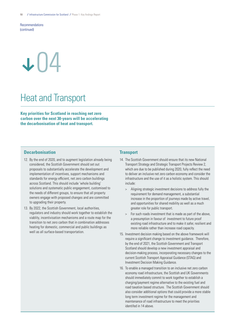**Recommendations** (continued)

## +04

## Heat and Transport

**Key priorities for Scotland in reaching net zero carbon over the next 30-years will be accelerating the decarbonisation of heat and transport.**

#### **Decarbonisation**

- 12. By the end of 2020, and to augment legislation already being considered, the Scottish Government should set out proposals to substantially accelerate the development and implementation of incentives, support mechanisms and standards for energy efficient, net zero carbon buildings across Scotland. This should include 'whole building' solutions and systematic public engagement, customised to the needs of different groups, to ensure that all property owners engage with proposed changes and are committed to upgrading their property.
- 13. By 2022, the Scottish Government, local authorities, regulators and industry should work together to establish the viablity, incentivisation mechanisms and a route map for the transition to net zero carbon that in combination addresses heating for domestic, commercial and public buildings as well as all surface-based transportation.

#### **Transport**

- 14. The Scottish Government should ensure that its new National Transport Strategy and Strategic Transport Projects Review 2, which are due to be published during 2020, fully reflect the need to deliver an inclusive net zero carbon economy and consider the infrastructure and the use of it as a holistic system. This should include:
	- > Aligning strategic investment decisions to address fully the requirement for demand management, a substantial increase in the proportion of journeys made by active travel, and opportunities for shared mobility as well as a much greater role for public transport.
	- > For such roads investment that is made as part of the above, a presumption in favour of investment to future proof existing road infrastructure and to make it safer, resilient and more reliable rather than increase road capacity.
- 15. Investment decision making based on the above framework will require a significant change to investment guidance. Therefore, by the end of 2021, the Scottish Government and Transport Scotland should develop a new investment appraisal and decision-making process, incorporating necessary changes to the current Scottish Transport Appraisal Guidance (STAG) and Investment Decision Making Guidance.
- 16. To enable a managed transition to an inclusive net zero carbon economy road infrastructure, the Scottish and UK Governments should immediately commit to work together to establish a charging/payment regime alternative to the existing fuel and road taxation based structure. The Scottish Government should also consider additional options that could provide a more stable long term investment regime for the management and maintenance of road infrastructure to meet the priorities identifed in 14 above.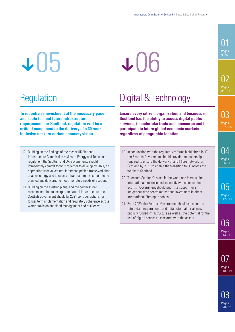## $\textcolor{red}{\textbf{+05}}$

# +06

**To incentivise investment at the necessary pace and scale to meet future infrastructure requirements for Scotland, regulation will be a critical component to the delivery of a 30-year inclusive net zero carbon economy vision.**

- 17. Building on the findings of the recent UK National Infrastructure Commission review of Energy and Telecoms regulation, the Scottish and UK Governments should immediately commit to work together to develop by 2021, an appropriately devolved regulatory and pricing framework that enables energy and telecoms infrastructure investment to be planned and delivered to meet the future needs of Scotland.
- 18. Building on the existing plans, and the commission's recommendation to incorporate natural infrastructure, the Scottish Government should by 2021 consider options for longer term implementation and regulatory coherence across water provision and flood management and resilience.

Regulation Digital & Technology

**Ensure every citizen, organisation and business in Scotland has the ability to access digital public services, to undertake trade and commerce and to participate in future global economic markets regardless of geographic location.**

- 19. In conjunction with the regulatory reforms highlighted in 17, the Scottish Government should provide the leadership required to ensure the delivery of a full fibre network for Scotland by 2027 to enable the transition to 5G across the whole of Scotland.
- 20. To ensure Scotland's place in the world and increase its international presence and connectivity resilience, the Scottish Government should prioritise support for an indigenous data centre market and investment in direct international fibre optic cables.
- 21. From 2020, the Scottish Government should consider the future data requirements and data potential for all new publicly funded infrastructure as well as the potential for the use of digital services associated with the assets.

### 01 Pages 95-97

02 Pages 98-101

03 Pages 102-105

04 Pages 106-111

> 05 Pages 112-113

06 Pages 114-117

07

Pages 118-119

08

Pages 120-121